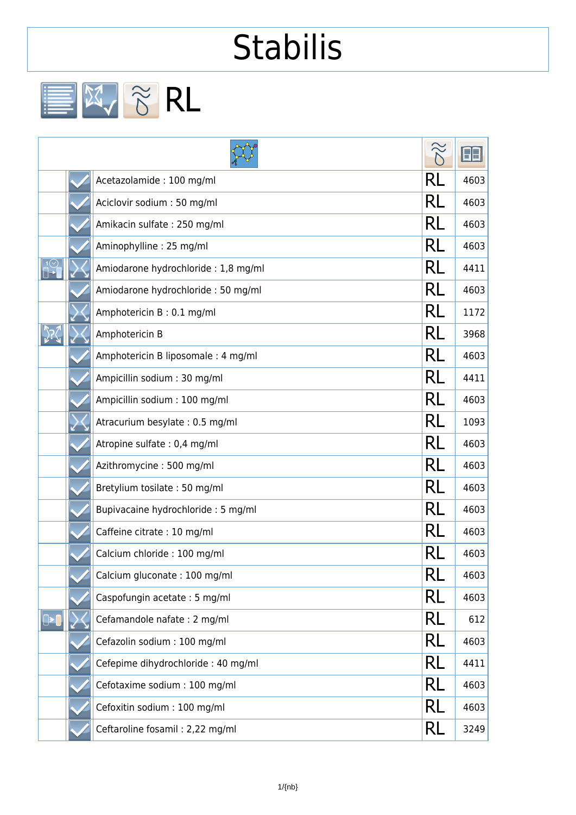## **Stabilis**

EX & RL

|  |                                     |    | FEI  |
|--|-------------------------------------|----|------|
|  | Acetazolamide: 100 mg/ml            | RL | 4603 |
|  | Aciclovir sodium: 50 mg/ml          | RL | 4603 |
|  | Amikacin sulfate: 250 mg/ml         | RL | 4603 |
|  | Aminophylline: 25 mg/ml             | RL | 4603 |
|  | Amiodarone hydrochloride: 1,8 mg/ml | RL | 4411 |
|  | Amiodarone hydrochloride: 50 mg/ml  | RL | 4603 |
|  | Amphotericin B: 0.1 mg/ml           | RL | 1172 |
|  | Amphotericin B                      | RL | 3968 |
|  | Amphotericin B liposomale: 4 mg/ml  | RL | 4603 |
|  | Ampicillin sodium: 30 mg/ml         | RL | 4411 |
|  | Ampicillin sodium: 100 mg/ml        | RL | 4603 |
|  | Atracurium besylate: 0.5 mg/ml      | RL | 1093 |
|  | Atropine sulfate: 0,4 mg/ml         | RL | 4603 |
|  | Azithromycine: 500 mg/ml            | RL | 4603 |
|  | Bretylium tosilate: 50 mg/ml        | RL | 4603 |
|  | Bupivacaine hydrochloride: 5 mg/ml  | RL | 4603 |
|  | Caffeine citrate: 10 mg/ml          | RL | 4603 |
|  | Calcium chloride : 100 mg/ml        |    | 4603 |
|  | Calcium gluconate: 100 mg/ml        | RL | 4603 |
|  | Caspofungin acetate: 5 mg/ml        | RL | 4603 |
|  | Cefamandole nafate: 2 mg/ml         | RL | 612  |
|  | Cefazolin sodium : 100 mg/ml        | RL | 4603 |
|  | Cefepime dihydrochloride: 40 mg/ml  | RL | 4411 |
|  | Cefotaxime sodium : 100 mg/ml       | RL | 4603 |
|  | Cefoxitin sodium: 100 mg/ml         | RL | 4603 |
|  | Ceftaroline fosamil: 2,22 mg/ml     | RL | 3249 |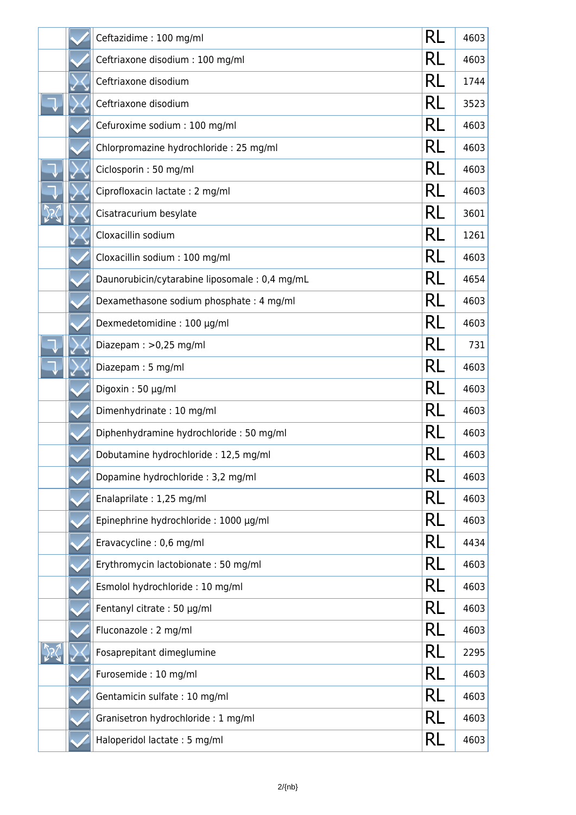|  | Ceftazidime: 100 mg/ml                        | RL | 4603 |
|--|-----------------------------------------------|----|------|
|  | Ceftriaxone disodium : 100 mg/ml              | RL | 4603 |
|  | Ceftriaxone disodium                          | RL | 1744 |
|  | Ceftriaxone disodium                          | RL | 3523 |
|  | Cefuroxime sodium : 100 mg/ml                 | RL | 4603 |
|  | Chlorpromazine hydrochloride: 25 mg/ml        | RL | 4603 |
|  | Ciclosporin: 50 mg/ml                         | RL | 4603 |
|  | Ciprofloxacin lactate: 2 mg/ml                | RL | 4603 |
|  | Cisatracurium besylate                        | RL | 3601 |
|  | Cloxacillin sodium                            | RL | 1261 |
|  | Cloxacillin sodium: 100 mg/ml                 | RL | 4603 |
|  | Daunorubicin/cytarabine liposomale: 0,4 mg/mL | RL | 4654 |
|  | Dexamethasone sodium phosphate: 4 mg/ml       | RL | 4603 |
|  | Dexmedetomidine: 100 µg/ml                    | RL | 4603 |
|  | Diazepam: > 0,25 mg/ml                        | RL | 731  |
|  | Diazepam: 5 mg/ml                             | RL | 4603 |
|  | Digoxin: 50 µg/ml                             | RL | 4603 |
|  | Dimenhydrinate: 10 mg/ml                      | RL | 4603 |
|  | Diphenhydramine hydrochloride: 50 mg/ml       | RL | 4603 |
|  | Dobutamine hydrochloride: 12,5 mg/ml          | Rl | 4603 |
|  | Dopamine hydrochloride: 3,2 mg/ml             | RL | 4603 |
|  | Enalaprilate: 1,25 mg/ml                      | RL | 4603 |
|  | Epinephrine hydrochloride: 1000 µg/ml         | RL | 4603 |
|  | Eravacycline: 0,6 mg/ml                       | RL | 4434 |
|  | Erythromycin lactobionate: 50 mg/ml           | RL | 4603 |
|  | Esmolol hydrochloride: 10 mg/ml               | RL | 4603 |
|  | Fentanyl citrate: 50 µg/ml                    | RL | 4603 |
|  | Fluconazole: 2 mg/ml                          | RL | 4603 |
|  | Fosaprepitant dimeglumine                     | RL | 2295 |
|  | Furosemide: 10 mg/ml                          | RL | 4603 |
|  | Gentamicin sulfate: 10 mg/ml                  | RL | 4603 |
|  | Granisetron hydrochloride: 1 mg/ml            | RL | 4603 |
|  | Haloperidol lactate: 5 mg/ml                  | RL | 4603 |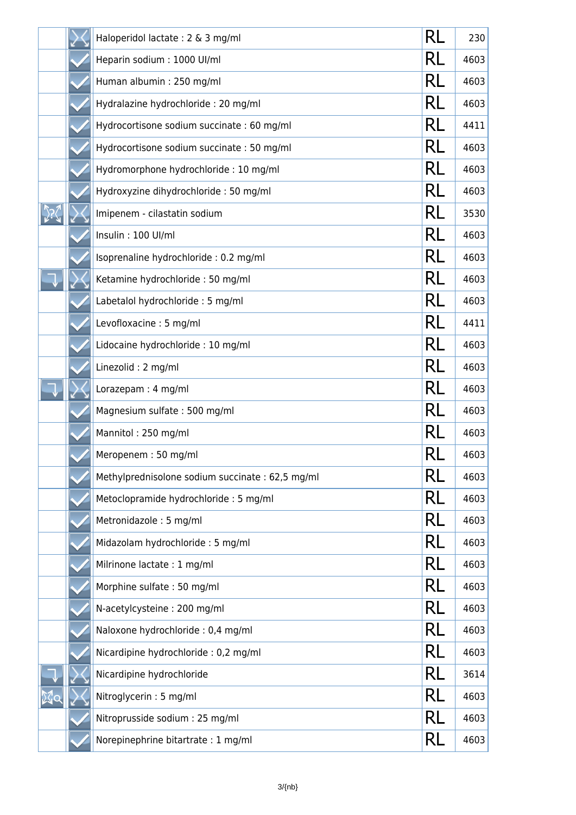|  | Haloperidol lactate: 2 & 3 mg/ml                | RL | 230  |
|--|-------------------------------------------------|----|------|
|  | Heparin sodium : 1000 UI/ml                     | RL | 4603 |
|  | Human albumin: 250 mg/ml                        | RL | 4603 |
|  | Hydralazine hydrochloride: 20 mg/ml             | RL | 4603 |
|  | Hydrocortisone sodium succinate: 60 mg/ml       | RL | 4411 |
|  | Hydrocortisone sodium succinate: 50 mg/ml       | RL | 4603 |
|  | Hydromorphone hydrochloride: 10 mg/ml           | RL | 4603 |
|  | Hydroxyzine dihydrochloride: 50 mg/ml           | RL | 4603 |
|  | Imipenem - cilastatin sodium                    | RL | 3530 |
|  | Insulin: 100 UI/ml                              | RL | 4603 |
|  | Isoprenaline hydrochloride: 0.2 mg/ml           | RL | 4603 |
|  | Ketamine hydrochloride: 50 mg/ml                | RL | 4603 |
|  | Labetalol hydrochloride: 5 mg/ml                | RL | 4603 |
|  | Levofloxacine: 5 mg/ml                          | RL | 4411 |
|  | Lidocaine hydrochloride : 10 mg/ml              | RL | 4603 |
|  | Linezolid: 2 mg/ml                              | RL | 4603 |
|  | Lorazepam: 4 mg/ml                              | RL | 4603 |
|  | Magnesium sulfate: 500 mg/ml                    | RL | 4603 |
|  | Mannitol: 250 mg/ml                             | RL | 4603 |
|  | Meropenem: 50 mg/ml                             | Rl | 4603 |
|  | Methylprednisolone sodium succinate: 62,5 mg/ml | RL | 4603 |
|  | Metoclopramide hydrochloride: 5 mg/ml           | RL | 4603 |
|  | Metronidazole: 5 mg/ml                          | RL | 4603 |
|  | Midazolam hydrochloride: 5 mg/ml                | RL | 4603 |
|  | Milrinone lactate : 1 mg/ml                     | RL | 4603 |
|  | Morphine sulfate: 50 mg/ml                      | RL | 4603 |
|  | N-acetylcysteine: 200 mg/ml                     | RL | 4603 |
|  | Naloxone hydrochloride : 0,4 mg/ml              | RL | 4603 |
|  | Nicardipine hydrochloride : 0,2 mg/ml           | RL | 4603 |
|  | Nicardipine hydrochloride                       | RL | 3614 |
|  | Nitroglycerin: 5 mg/ml                          | RL | 4603 |
|  | Nitroprusside sodium : 25 mg/ml                 | RL | 4603 |
|  | Norepinephrine bitartrate: 1 mg/ml              | RL | 4603 |

٦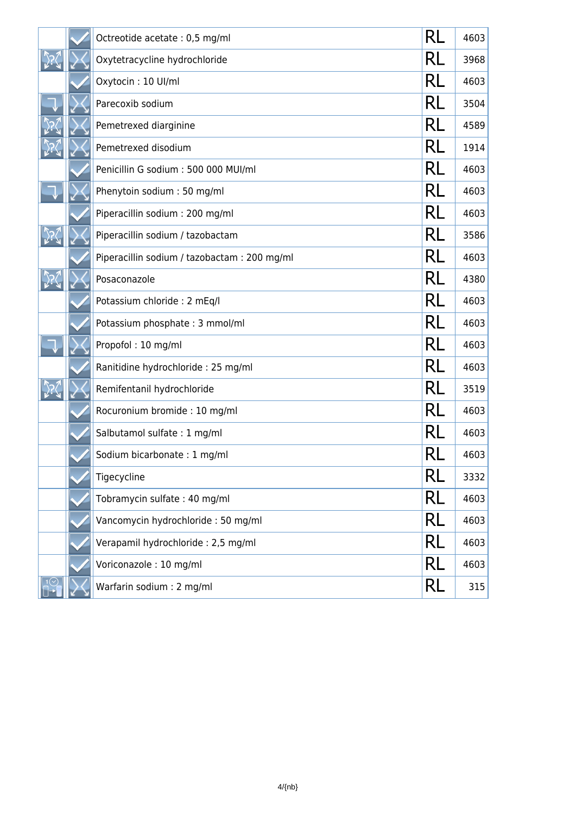|  | Octreotide acetate : 0,5 mg/ml              | RL        | 4603 |
|--|---------------------------------------------|-----------|------|
|  | Oxytetracycline hydrochloride               | RL        | 3968 |
|  | Oxytocin: 10 Ul/ml                          | RL        | 4603 |
|  | Parecoxib sodium                            | RL        | 3504 |
|  | Pemetrexed diarginine                       | RL        | 4589 |
|  | Pemetrexed disodium                         | RL        | 1914 |
|  | Penicillin G sodium: 500 000 MUI/ml         | RL        | 4603 |
|  | Phenytoin sodium: 50 mg/ml                  | RL        | 4603 |
|  | Piperacillin sodium: 200 mg/ml              | RL        | 4603 |
|  | Piperacillin sodium / tazobactam            | RL        | 3586 |
|  | Piperacillin sodium / tazobactam: 200 mg/ml | RL        | 4603 |
|  | Posaconazole                                | RL        | 4380 |
|  | Potassium chloride : 2 mEq/l                | RL        | 4603 |
|  | Potassium phosphate: 3 mmol/ml              | RL        | 4603 |
|  | Propofol: 10 mg/ml                          | RL        | 4603 |
|  | Ranitidine hydrochloride: 25 mg/ml          | RL        | 4603 |
|  | Remifentanil hydrochloride                  | RL        | 3519 |
|  | Rocuronium bromide: 10 mg/ml                | RL        | 4603 |
|  | Salbutamol sulfate: 1 mg/ml                 | RL        | 4603 |
|  | Sodium bicarbonate: 1 mg/ml                 | RI        | 4603 |
|  | Tigecycline                                 | RL        | 3332 |
|  | Tobramycin sulfate: 40 mg/ml                | RL        | 4603 |
|  | Vancomycin hydrochloride: 50 mg/ml          | <b>RL</b> | 4603 |
|  | Verapamil hydrochloride: 2,5 mg/ml          | RL        | 4603 |
|  | Voriconazole: 10 mg/ml                      | <b>RL</b> | 4603 |
|  | Warfarin sodium: 2 mg/ml                    | RL        | 315  |